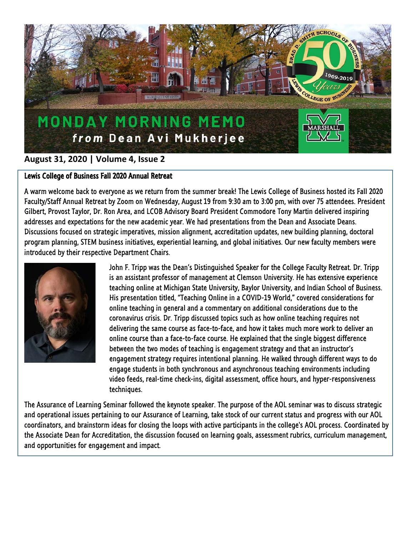

# **August 31, 2020 | Volume 4, Issue 2**

### Lewis College of Business Fall 2020 Annual Retreat

A warm welcome back to everyone as we return from the summer break! The Lewis College of Business hosted its Fall 2020 Faculty/Staff Annual Retreat by Zoom on Wednesday, August 19 from 9:30 am to 3:00 pm, with over 75 attendees. President Gilbert, Provost Taylor, Dr. Ron Area, and LCOB Advisory Board President Commodore Tony Martin delivered inspiring addresses and expectations for the new academic year. We had presentations from the Dean and Associate Deans. Discussions focused on strategic imperatives, mission alignment, accreditation updates, new building planning, doctoral program planning, STEM business initiatives, experiential learning, and global initiatives. Our new faculty members were introduced by their respective Department Chairs.



John F. Tripp was the Dean's Distinguished Speaker for the College Faculty Retreat. Dr. Tripp is an assistant professor of management at Clemson University. He has extensive experience teaching online at Michigan State University, Baylor University, and Indian School of Business. His presentation titled, "Teaching Online in a COVID-19 World," covered considerations for online teaching in general and a commentary on additional considerations due to the coronavirus crisis. Dr. Tripp discussed topics such as how online teaching requires not delivering the same course as face-to-face, and how it takes much more work to deliver an online course than a face-to-face course. He explained that the single biggest difference between the two modes of teaching is engagement strategy and that an instructor's engagement strategy requires intentional planning. He walked through different ways to do engage students in both synchronous and asynchronous teaching environments including video feeds, real-time check-ins, digital assessment, office hours, and hyper-responsiveness techniques.

The Assurance of Learning Seminar followed the keynote speaker. The purpose of the AOL seminar was to discuss strategic and operational issues pertaining to our Assurance of Learning, take stock of our current status and progress with our AOL coordinators, and brainstorm ideas for closing the loops with active participants in the college's AOL process. Coordinated by the Associate Dean for Accreditation, the discussion focused on learning goals, assessment rubrics, curriculum management, and opportunities for engagement and impact.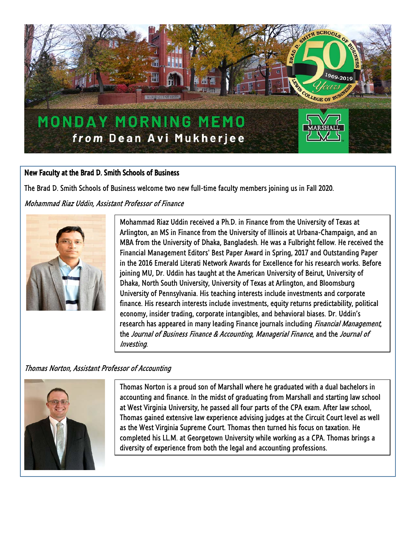

### New Faculty at the Brad D. Smith Schools of Business

The Brad D. Smith Schools of Business welcome two new full-time faculty members joining us in Fall 2020.

Mohammad Riaz Uddin, Assistant Professor of Finance



Mohammad Riaz Uddin received a Ph.D. in Finance from the University of Texas at Arlington, an MS in Finance from the University of Illinois at Urbana-Champaign, and an MBA from the University of Dhaka, Bangladesh. He was a Fulbright fellow. He received the Financial Management Editors' Best Paper Award in Spring, 2017 and Outstanding Paper in the 2016 Emerald Literati Network Awards for Excellence for his research works. Before joining MU, Dr. Uddin has taught at the American University of Beirut, University of Dhaka, North South University, University of Texas at Arlington, and Bloomsburg University of Pennsylvania. His teaching interests include investments and corporate finance. His research interests include investments, equity returns predictability, political economy, insider trading, corporate intangibles, and behavioral biases. Dr. Uddin's research has appeared in many leading Finance journals including Financial Management, the Journal of Business Finance & Accounting, Managerial Finance, and the Journal of Investing.

## Thomas Norton, Assistant Professor of Accounting



Thomas Norton is a proud son of Marshall where he graduated with a dual bachelors in accounting and finance. In the midst of graduating from Marshall and starting law school at West Virginia University, he passed all four parts of the CPA exam. After law school, Thomas gained extensive law experience advising judges at the Circuit Court level as well as the West Virginia Supreme Court. Thomas then turned his focus on taxation. He completed his LL.M. at Georgetown University while working as a CPA. Thomas brings a diversity of experience from both the legal and accounting professions.